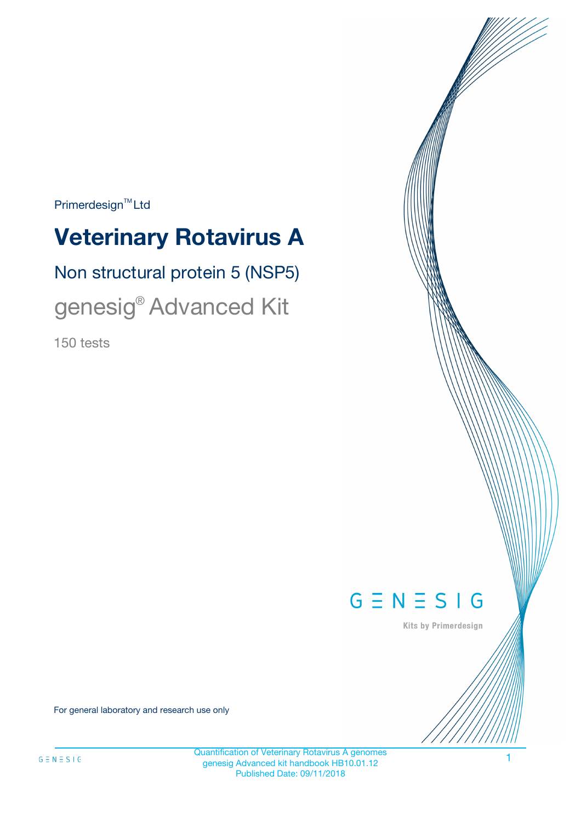$Primerdesign^{\text{TM}}Ltd$ 

# **Veterinary Rotavirus A**

# Non structural protein 5 (NSP5)

# genesig® Advanced Kit

150 tests



Kits by Primerdesign

For general laboratory and research use only

1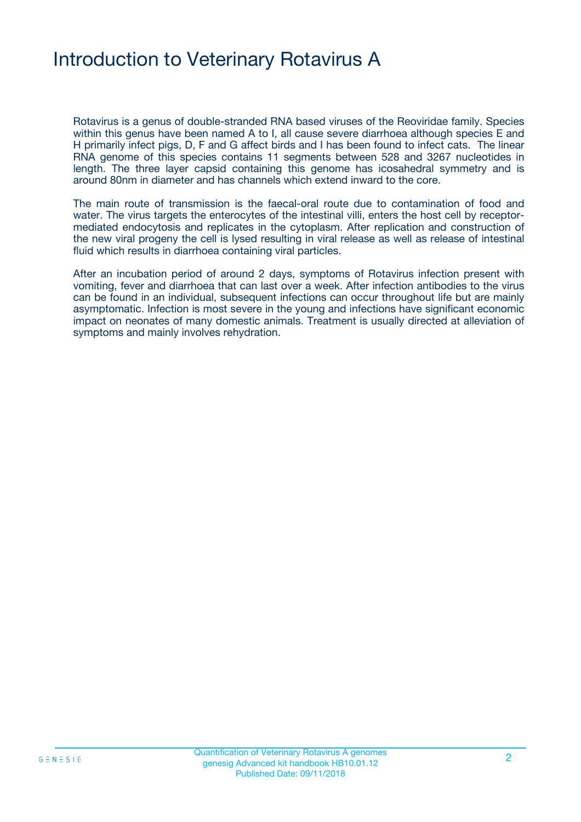# Introduction to Veterinary Rotavirus A

Rotavirus is a genus of double-stranded RNA based viruses of the Reoviridae family. Species within this genus have been named A to I, all cause severe diarrhoea although species E and H primarily infect pigs, D, F and G affect birds and I has been found to infect cats. The linear RNA genome of this species contains 11 segments between 528 and 3267 nucleotides in length. The three layer capsid containing this genome has icosahedral symmetry and is around 80nm in diameter and has channels which extend inward to the core.

The main route of transmission is the faecal-oral route due to contamination of food and water. The virus targets the enterocytes of the intestinal villi, enters the host cell by receptormediated endocytosis and replicates in the cytoplasm. After replication and construction of the new viral progeny the cell is lysed resulting in viral release as well as release of intestinal fluid which results in diarrhoea containing viral particles.

After an incubation period of around 2 days, symptoms of Rotavirus infection present with vomiting, fever and diarrhoea that can last over a week. After infection antibodies to the virus can be found in an individual, subsequent infections can occur throughout life but are mainly asymptomatic. Infection is most severe in the young and infections have significant economic impact on neonates of many domestic animals. Treatment is usually directed at alleviation of symptoms and mainly involves rehydration.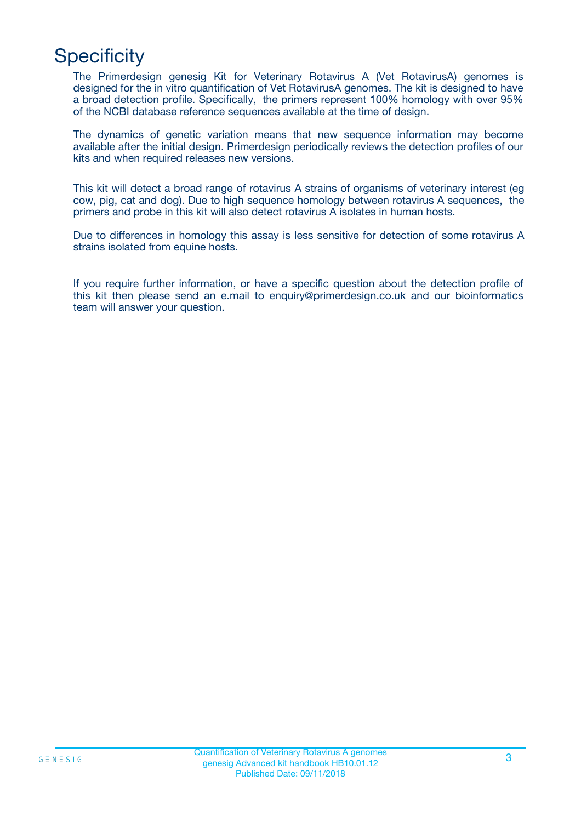# **Specificity**

The Primerdesign genesig Kit for Veterinary Rotavirus A (Vet RotavirusA) genomes is designed for the in vitro quantification of Vet RotavirusA genomes. The kit is designed to have a broad detection profile. Specifically, the primers represent 100% homology with over 95% of the NCBI database reference sequences available at the time of design.

The dynamics of genetic variation means that new sequence information may become available after the initial design. Primerdesign periodically reviews the detection profiles of our kits and when required releases new versions.

This kit will detect a broad range of rotavirus A strains of organisms of veterinary interest (eg cow, pig, cat and dog). Due to high sequence homology between rotavirus A sequences, the primers and probe in this kit will also detect rotavirus A isolates in human hosts.

Due to differences in homology this assay is less sensitive for detection of some rotavirus A strains isolated from equine hosts.

If you require further information, or have a specific question about the detection profile of this kit then please send an e.mail to enquiry@primerdesign.co.uk and our bioinformatics team will answer your question.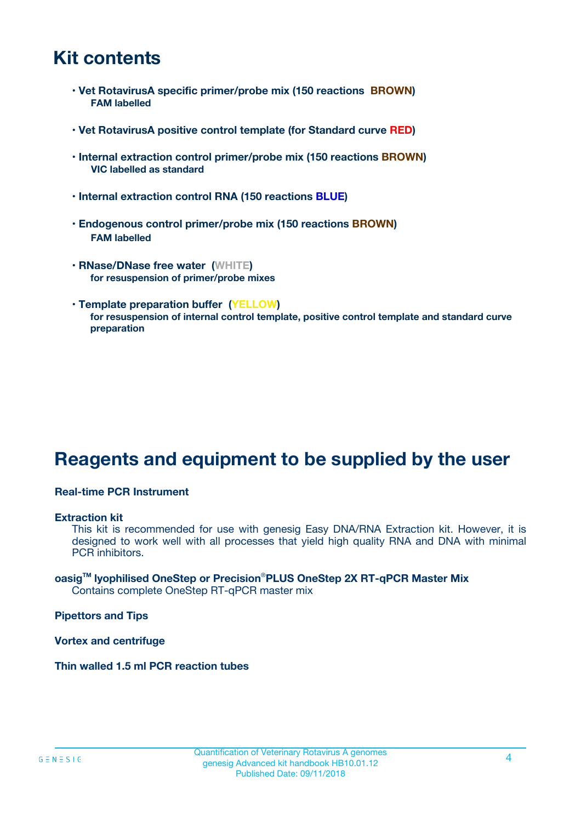## **Kit contents**

- **Vet RotavirusA specific primer/probe mix (150 reactions BROWN) FAM labelled**
- **Vet RotavirusA positive control template (for Standard curve RED)**
- **Internal extraction control primer/probe mix (150 reactions BROWN) VIC labelled as standard**
- **Internal extraction control RNA (150 reactions BLUE)**
- **Endogenous control primer/probe mix (150 reactions BROWN) FAM labelled**
- **RNase/DNase free water (WHITE) for resuspension of primer/probe mixes**
- **Template preparation buffer (YELLOW) for resuspension of internal control template, positive control template and standard curve preparation**

# **Reagents and equipment to be supplied by the user**

#### **Real-time PCR Instrument**

#### **Extraction kit**

This kit is recommended for use with genesig Easy DNA/RNA Extraction kit. However, it is designed to work well with all processes that yield high quality RNA and DNA with minimal PCR inhibitors.

#### **oasigTM lyophilised OneStep or Precision**®**PLUS OneStep 2X RT-qPCR Master Mix** Contains complete OneStep RT-qPCR master mix

**Pipettors and Tips**

**Vortex and centrifuge**

**Thin walled 1.5 ml PCR reaction tubes**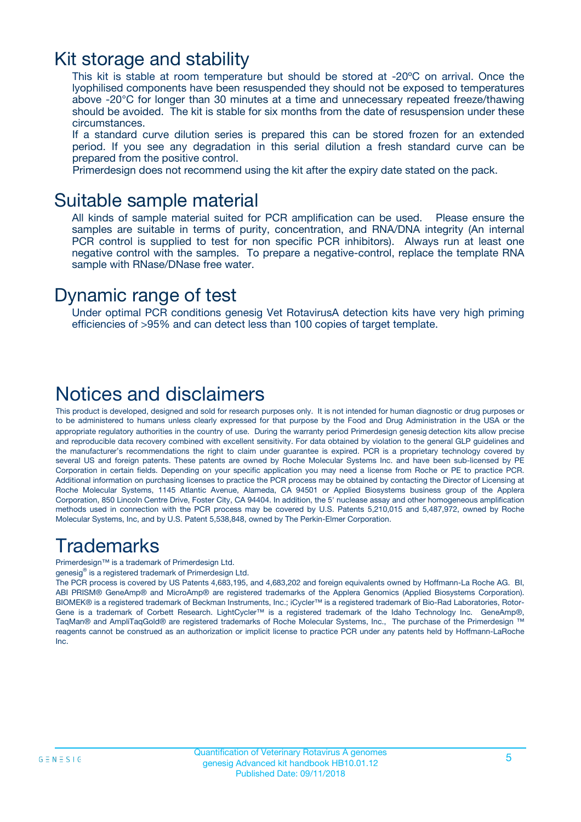### Kit storage and stability

This kit is stable at room temperature but should be stored at -20ºC on arrival. Once the lyophilised components have been resuspended they should not be exposed to temperatures above -20°C for longer than 30 minutes at a time and unnecessary repeated freeze/thawing should be avoided. The kit is stable for six months from the date of resuspension under these circumstances.

If a standard curve dilution series is prepared this can be stored frozen for an extended period. If you see any degradation in this serial dilution a fresh standard curve can be prepared from the positive control.

Primerdesign does not recommend using the kit after the expiry date stated on the pack.

### Suitable sample material

All kinds of sample material suited for PCR amplification can be used. Please ensure the samples are suitable in terms of purity, concentration, and RNA/DNA integrity (An internal PCR control is supplied to test for non specific PCR inhibitors). Always run at least one negative control with the samples. To prepare a negative-control, replace the template RNA sample with RNase/DNase free water.

### Dynamic range of test

Under optimal PCR conditions genesig Vet RotavirusA detection kits have very high priming efficiencies of >95% and can detect less than 100 copies of target template.

### Notices and disclaimers

This product is developed, designed and sold for research purposes only. It is not intended for human diagnostic or drug purposes or to be administered to humans unless clearly expressed for that purpose by the Food and Drug Administration in the USA or the appropriate regulatory authorities in the country of use. During the warranty period Primerdesign genesig detection kits allow precise and reproducible data recovery combined with excellent sensitivity. For data obtained by violation to the general GLP guidelines and the manufacturer's recommendations the right to claim under guarantee is expired. PCR is a proprietary technology covered by several US and foreign patents. These patents are owned by Roche Molecular Systems Inc. and have been sub-licensed by PE Corporation in certain fields. Depending on your specific application you may need a license from Roche or PE to practice PCR. Additional information on purchasing licenses to practice the PCR process may be obtained by contacting the Director of Licensing at Roche Molecular Systems, 1145 Atlantic Avenue, Alameda, CA 94501 or Applied Biosystems business group of the Applera Corporation, 850 Lincoln Centre Drive, Foster City, CA 94404. In addition, the 5' nuclease assay and other homogeneous amplification methods used in connection with the PCR process may be covered by U.S. Patents 5,210,015 and 5,487,972, owned by Roche Molecular Systems, Inc, and by U.S. Patent 5,538,848, owned by The Perkin-Elmer Corporation.

## Trademarks

Primerdesign™ is a trademark of Primerdesign Ltd.

genesig® is a registered trademark of Primerdesign Ltd.

The PCR process is covered by US Patents 4,683,195, and 4,683,202 and foreign equivalents owned by Hoffmann-La Roche AG. BI, ABI PRISM® GeneAmp® and MicroAmp® are registered trademarks of the Applera Genomics (Applied Biosystems Corporation). BIOMEK® is a registered trademark of Beckman Instruments, Inc.; iCycler™ is a registered trademark of Bio-Rad Laboratories, Rotor-Gene is a trademark of Corbett Research. LightCycler™ is a registered trademark of the Idaho Technology Inc. GeneAmp®, TaqMan® and AmpliTaqGold® are registered trademarks of Roche Molecular Systems, Inc., The purchase of the Primerdesign ™ reagents cannot be construed as an authorization or implicit license to practice PCR under any patents held by Hoffmann-LaRoche Inc.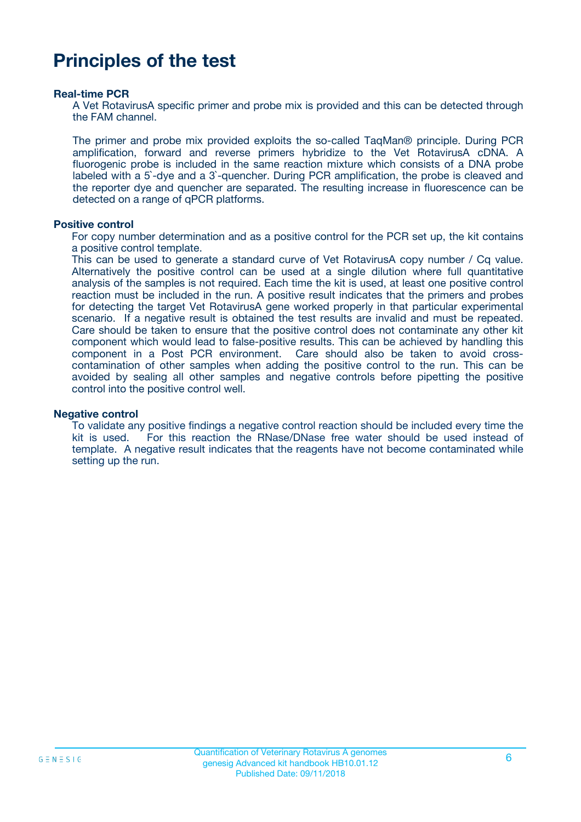# **Principles of the test**

#### **Real-time PCR**

A Vet RotavirusA specific primer and probe mix is provided and this can be detected through the FAM channel.

The primer and probe mix provided exploits the so-called TaqMan® principle. During PCR amplification, forward and reverse primers hybridize to the Vet RotavirusA cDNA. A fluorogenic probe is included in the same reaction mixture which consists of a DNA probe labeled with a 5`-dye and a 3`-quencher. During PCR amplification, the probe is cleaved and the reporter dye and quencher are separated. The resulting increase in fluorescence can be detected on a range of qPCR platforms.

#### **Positive control**

For copy number determination and as a positive control for the PCR set up, the kit contains a positive control template.

This can be used to generate a standard curve of Vet RotavirusA copy number / Cq value. Alternatively the positive control can be used at a single dilution where full quantitative analysis of the samples is not required. Each time the kit is used, at least one positive control reaction must be included in the run. A positive result indicates that the primers and probes for detecting the target Vet RotavirusA gene worked properly in that particular experimental scenario. If a negative result is obtained the test results are invalid and must be repeated. Care should be taken to ensure that the positive control does not contaminate any other kit component which would lead to false-positive results. This can be achieved by handling this component in a Post PCR environment. Care should also be taken to avoid crosscontamination of other samples when adding the positive control to the run. This can be avoided by sealing all other samples and negative controls before pipetting the positive control into the positive control well.

#### **Negative control**

To validate any positive findings a negative control reaction should be included every time the kit is used. For this reaction the RNase/DNase free water should be used instead of template. A negative result indicates that the reagents have not become contaminated while setting up the run.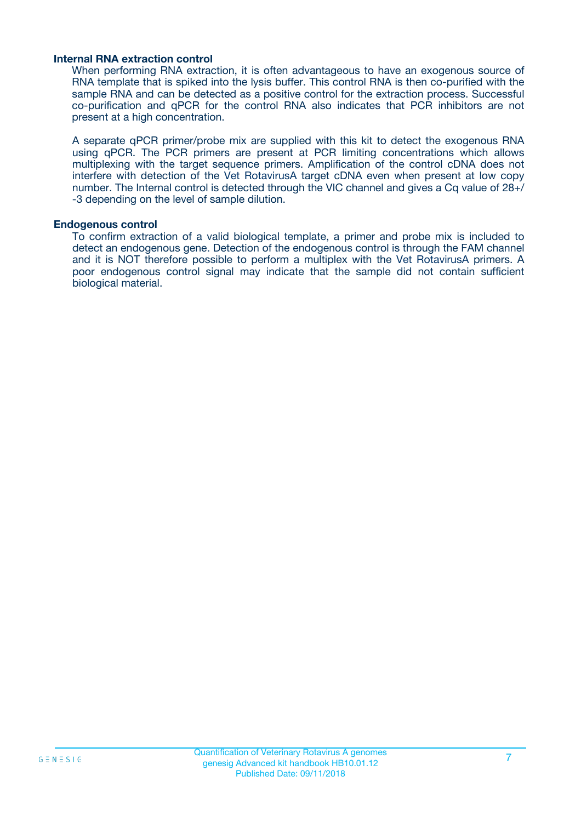#### **Internal RNA extraction control**

When performing RNA extraction, it is often advantageous to have an exogenous source of RNA template that is spiked into the lysis buffer. This control RNA is then co-purified with the sample RNA and can be detected as a positive control for the extraction process. Successful co-purification and qPCR for the control RNA also indicates that PCR inhibitors are not present at a high concentration.

A separate qPCR primer/probe mix are supplied with this kit to detect the exogenous RNA using qPCR. The PCR primers are present at PCR limiting concentrations which allows multiplexing with the target sequence primers. Amplification of the control cDNA does not interfere with detection of the Vet RotavirusA target cDNA even when present at low copy number. The Internal control is detected through the VIC channel and gives a Cq value of 28+/ -3 depending on the level of sample dilution.

#### **Endogenous control**

To confirm extraction of a valid biological template, a primer and probe mix is included to detect an endogenous gene. Detection of the endogenous control is through the FAM channel and it is NOT therefore possible to perform a multiplex with the Vet RotavirusA primers. A poor endogenous control signal may indicate that the sample did not contain sufficient biological material.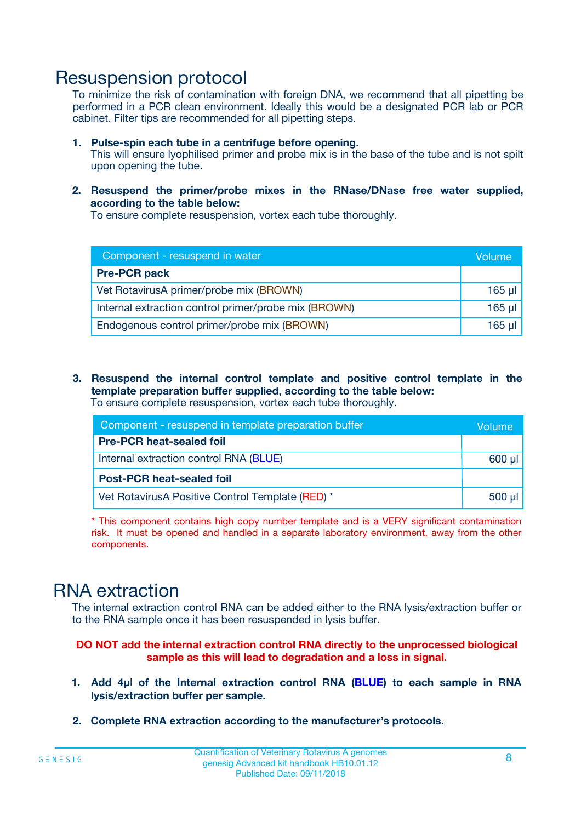### Resuspension protocol

To minimize the risk of contamination with foreign DNA, we recommend that all pipetting be performed in a PCR clean environment. Ideally this would be a designated PCR lab or PCR cabinet. Filter tips are recommended for all pipetting steps.

- **1. Pulse-spin each tube in a centrifuge before opening.** This will ensure lyophilised primer and probe mix is in the base of the tube and is not spilt upon opening the tube.
- **2. Resuspend the primer/probe mixes in the RNase/DNase free water supplied, according to the table below:**

To ensure complete resuspension, vortex each tube thoroughly.

| Component - resuspend in water                       |          |  |
|------------------------------------------------------|----------|--|
| <b>Pre-PCR pack</b>                                  |          |  |
| Vet RotavirusA primer/probe mix (BROWN)              | $165$ µl |  |
| Internal extraction control primer/probe mix (BROWN) | $165$ µl |  |
| Endogenous control primer/probe mix (BROWN)          | 165 µl   |  |

**3. Resuspend the internal control template and positive control template in the template preparation buffer supplied, according to the table below:** To ensure complete resuspension, vortex each tube thoroughly.

| Component - resuspend in template preparation buffer |  |  |  |
|------------------------------------------------------|--|--|--|
| <b>Pre-PCR heat-sealed foil</b>                      |  |  |  |
| Internal extraction control RNA (BLUE)               |  |  |  |
| <b>Post-PCR heat-sealed foil</b>                     |  |  |  |
| Vet RotavirusA Positive Control Template (RED) *     |  |  |  |

\* This component contains high copy number template and is a VERY significant contamination risk. It must be opened and handled in a separate laboratory environment, away from the other components.

## RNA extraction

The internal extraction control RNA can be added either to the RNA lysis/extraction buffer or to the RNA sample once it has been resuspended in lysis buffer.

#### **DO NOT add the internal extraction control RNA directly to the unprocessed biological sample as this will lead to degradation and a loss in signal.**

- **1. Add 4µ**l **of the Internal extraction control RNA (BLUE) to each sample in RNA lysis/extraction buffer per sample.**
- **2. Complete RNA extraction according to the manufacturer's protocols.**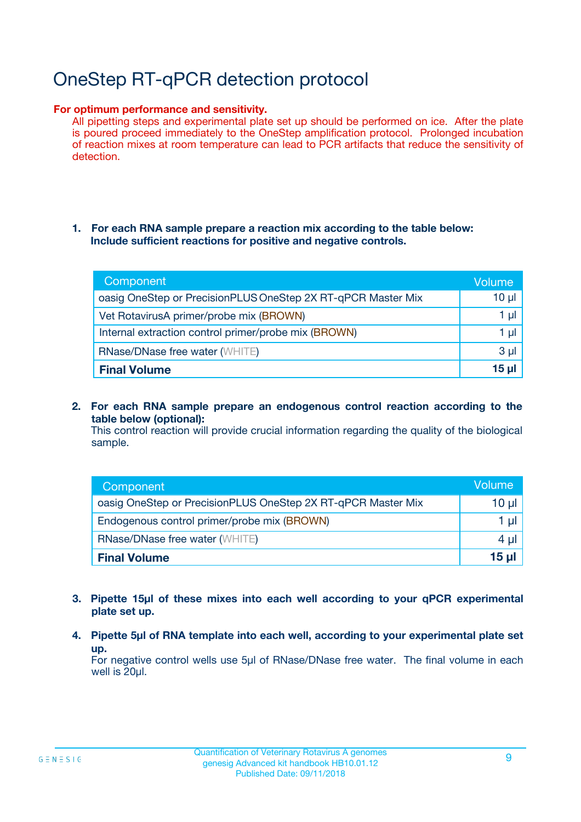# OneStep RT-qPCR detection protocol

#### **For optimum performance and sensitivity.**

All pipetting steps and experimental plate set up should be performed on ice. After the plate is poured proceed immediately to the OneStep amplification protocol. Prolonged incubation of reaction mixes at room temperature can lead to PCR artifacts that reduce the sensitivity of detection.

#### **1. For each RNA sample prepare a reaction mix according to the table below: Include sufficient reactions for positive and negative controls.**

| Component                                                    | Volume   |
|--------------------------------------------------------------|----------|
| oasig OneStep or PrecisionPLUS OneStep 2X RT-qPCR Master Mix | $10 \mu$ |
| Vet RotavirusA primer/probe mix (BROWN)                      | 1 µl     |
| Internal extraction control primer/probe mix (BROWN)         | 1 µI     |
| <b>RNase/DNase free water (WHITE)</b>                        | $3 \mu$  |
| <b>Final Volume</b>                                          | 15 ul    |

**2. For each RNA sample prepare an endogenous control reaction according to the table below (optional):**

This control reaction will provide crucial information regarding the quality of the biological sample.

| Component                                                    | Volume          |  |  |
|--------------------------------------------------------------|-----------------|--|--|
| oasig OneStep or PrecisionPLUS OneStep 2X RT-qPCR Master Mix | $10 \mu$        |  |  |
| Endogenous control primer/probe mix (BROWN)                  |                 |  |  |
| <b>RNase/DNase free water (WHITE)</b>                        | 4 µl            |  |  |
| <b>Final Volume</b>                                          | 15 <sub>µ</sub> |  |  |

- **3. Pipette 15µl of these mixes into each well according to your qPCR experimental plate set up.**
- **4. Pipette 5µl of RNA template into each well, according to your experimental plate set up.**

For negative control wells use 5µl of RNase/DNase free water. The final volume in each well is 20µl.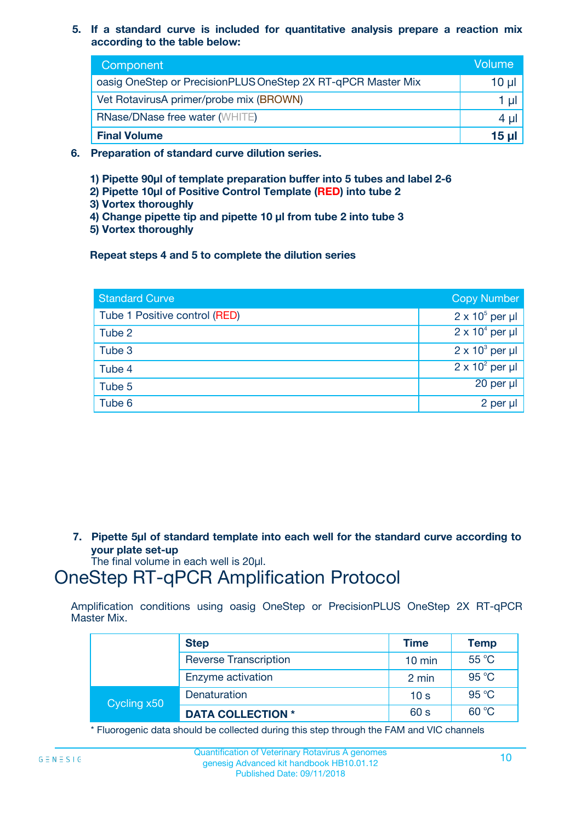**5. If a standard curve is included for quantitative analysis prepare a reaction mix according to the table below:**

| Component                                                    | Volume       |  |
|--------------------------------------------------------------|--------------|--|
| oasig OneStep or PrecisionPLUS OneStep 2X RT-qPCR Master Mix | $10 \mu$     |  |
| Vet RotavirusA primer/probe mix (BROWN)                      |              |  |
| <b>RNase/DNase free water (WHITE)</b>                        | 4 U          |  |
| <b>Final Volume</b>                                          | <u>15 µl</u> |  |

- **6. Preparation of standard curve dilution series.**
	- **1) Pipette 90µl of template preparation buffer into 5 tubes and label 2-6**
	- **2) Pipette 10µl of Positive Control Template (RED) into tube 2**
	- **3) Vortex thoroughly**
	- **4) Change pipette tip and pipette 10 µl from tube 2 into tube 3**
	- **5) Vortex thoroughly**

**Repeat steps 4 and 5 to complete the dilution series**

| <b>Standard Curve</b>         | <b>Copy Number</b>     |
|-------------------------------|------------------------|
| Tube 1 Positive control (RED) | $2 \times 10^5$ per µl |
| Tube 2                        | $2 \times 10^4$ per µl |
| Tube 3                        | $2 \times 10^3$ per µl |
| Tube 4                        | $2 \times 10^2$ per µl |
| Tube 5                        | 20 per µl              |
| Tube 6                        | 2 per µl               |

**7. Pipette 5µl of standard template into each well for the standard curve according to your plate set-up**

The final volume in each well is 20µl.

# OneStep RT-qPCR Amplification Protocol

Amplification conditions using oasig OneStep or PrecisionPLUS OneStep 2X RT-qPCR Master Mix.

|             | <b>Step</b>                  | <b>Time</b>      | <b>Temp</b> |
|-------------|------------------------------|------------------|-------------|
|             | <b>Reverse Transcription</b> | $10 \text{ min}$ | 55 °C       |
|             | Enzyme activation            | 2 min            | 95 °C       |
| Cycling x50 | Denaturation                 | 10 <sub>s</sub>  | 95 °C       |
|             | <b>DATA COLLECTION *</b>     | 60 s             | 60 °C       |

\* Fluorogenic data should be collected during this step through the FAM and VIC channels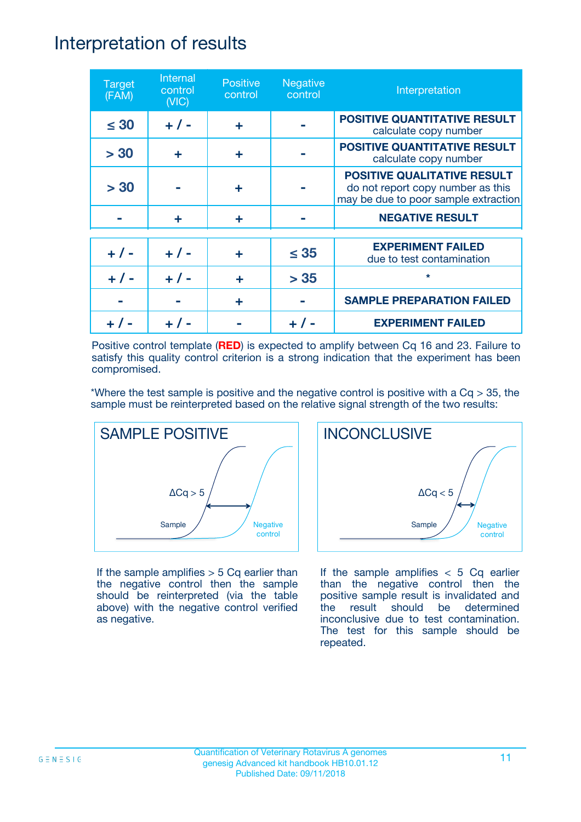### Interpretation of results

| <b>Target</b><br>(FAM) | Internal<br>control<br>(NIC) | <b>Positive</b><br>control | <b>Negative</b><br>control | Interpretation                                                                                                  |
|------------------------|------------------------------|----------------------------|----------------------------|-----------------------------------------------------------------------------------------------------------------|
| $\leq 30$              | $+ 1 -$                      | ÷                          |                            | <b>POSITIVE QUANTITATIVE RESULT</b><br>calculate copy number                                                    |
| > 30                   | ÷                            | ÷                          |                            | <b>POSITIVE QUANTITATIVE RESULT</b><br>calculate copy number                                                    |
| > 30                   |                              | ÷                          |                            | <b>POSITIVE QUALITATIVE RESULT</b><br>do not report copy number as this<br>may be due to poor sample extraction |
|                        | ÷                            | ÷                          |                            | <b>NEGATIVE RESULT</b>                                                                                          |
| $+ 1 -$                | $+ 1 -$                      | ÷                          | $\leq$ 35                  | <b>EXPERIMENT FAILED</b><br>due to test contamination                                                           |
|                        | $+$ / -                      |                            | > 35                       | $\star$                                                                                                         |
|                        |                              | ÷                          |                            | <b>SAMPLE PREPARATION FAILED</b>                                                                                |
|                        |                              |                            |                            | <b>EXPERIMENT FAILED</b>                                                                                        |

Positive control template (**RED**) is expected to amplify between Cq 16 and 23. Failure to satisfy this quality control criterion is a strong indication that the experiment has been compromised.

\*Where the test sample is positive and the negative control is positive with a  $Cq > 35$ , the sample must be reinterpreted based on the relative signal strength of the two results:



If the sample amplifies  $> 5$  Cq earlier than the negative control then the sample should be reinterpreted (via the table above) with the negative control verified as negative.



If the sample amplifies  $< 5$  Cq earlier than the negative control then the positive sample result is invalidated and the result should be determined inconclusive due to test contamination. The test for this sample should be repeated.